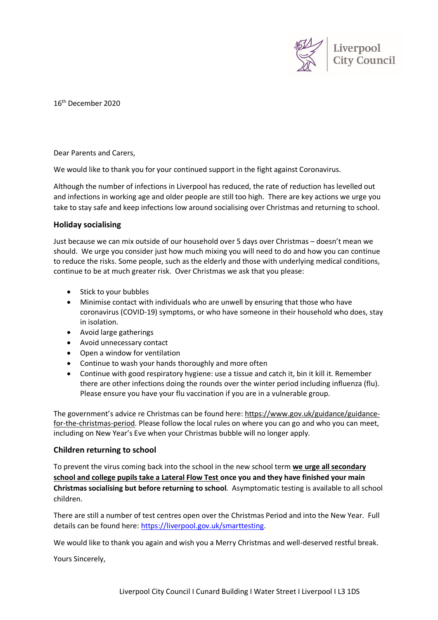

16th December 2020

Dear Parents and Carers,

We would like to thank you for your continued support in the fight against Coronavirus.

Although the number of infections in Liverpool has reduced, the rate of reduction has levelled out and infections in working age and older people are still too high. There are key actions we urge you take to stay safe and keep infections low around socialising over Christmas and returning to school.

## **Holiday socialising**

Just because we can mix outside of our household over 5 days over Christmas – doesn't mean we should. We urge you consider just how much mixing you will need to do and how you can continue to reduce the risks. Some people, such as the elderly and those with underlying medical conditions, continue to be at much greater risk. Over Christmas we ask that you please:

- Stick to your bubbles
- Minimise contact with individuals who are unwell by ensuring that those who have coronavirus (COVID-19) symptoms, or who have someone in their household who does, stay in isolation.
- Avoid large gatherings
- Avoid unnecessary contact
- Open a window for ventilation
- Continue to wash your hands thoroughly and more often
- Continue with good respiratory hygiene: use a tissue and catch it, bin it kill it. Remember there are other infections doing the rounds over the winter period including influenza (flu). Please ensure you have your flu vaccination if you are in a vulnerable group.

The government's advice re Christmas can be found here: https://www.gov.uk/guidance/guidancefor-the-christmas-period. Please follow the local rules on where you can go and who you can meet, including on New Year's Eve when your Christmas bubble will no longer apply.

## **Children returning to school**

To prevent the virus coming back into the school in the new school term **we urge all secondary school and college pupils take a Lateral Flow Test once you and they have finished your main Christmas socialising but before returning to school**. Asymptomatic testing is available to all school children.

There are still a number of test centres open over the Christmas Period and into the New Year. Full details can be found here: https://liverpool.gov.uk/smarttesting.

We would like to thank you again and wish you a Merry Christmas and well-deserved restful break.

Yours Sincerely,